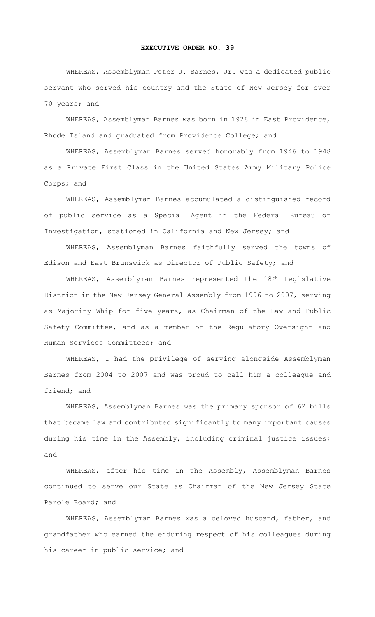## **EXECUTIVE ORDER NO. 39**

WHEREAS, Assemblyman Peter J. Barnes, Jr. was a dedicated public servant who served his country and the State of New Jersey for over 70 years; and

WHEREAS, Assemblyman Barnes was born in 1928 in East Providence, Rhode Island and graduated from Providence College; and

WHEREAS, Assemblyman Barnes served honorably from 1946 to 1948 as a Private First Class in the United States Army Military Police Corps; and

WHEREAS, Assemblyman Barnes accumulated a distinguished record of public service as a Special Agent in the Federal Bureau of Investigation, stationed in California and New Jersey; and

WHEREAS, Assemblyman Barnes faithfully served the towns of Edison and East Brunswick as Director of Public Safety; and

WHEREAS, Assemblyman Barnes represented the 18th Legislative District in the New Jersey General Assembly from 1996 to 2007, serving as Majority Whip for five years, as Chairman of the Law and Public Safety Committee, and as a member of the Regulatory Oversight and Human Services Committees; and

WHEREAS, I had the privilege of serving alongside Assemblyman Barnes from 2004 to 2007 and was proud to call him a colleague and friend; and

WHEREAS, Assemblyman Barnes was the primary sponsor of 62 bills that became law and contributed significantly to many important causes during his time in the Assembly, including criminal justice issues; and

WHEREAS, after his time in the Assembly, Assemblyman Barnes continued to serve our State as Chairman of the New Jersey State Parole Board; and

WHEREAS, Assemblyman Barnes was a beloved husband, father, and grandfather who earned the enduring respect of his colleagues during his career in public service; and